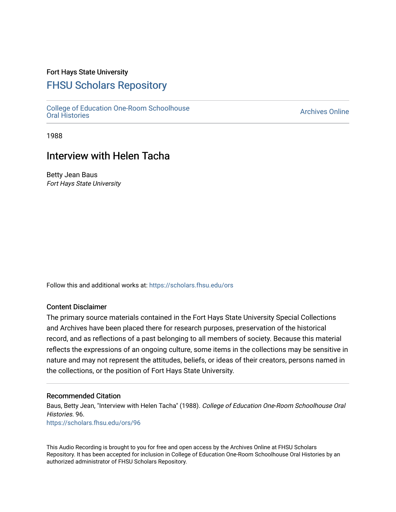## Fort Hays State University

# [FHSU Scholars Repository](https://scholars.fhsu.edu/)

[College of Education One-Room Schoolhouse](https://scholars.fhsu.edu/ors) [Oral Histories](https://scholars.fhsu.edu/ors) [Archives Online](https://scholars.fhsu.edu/archives) 

1988

# Interview with Helen Tacha

Betty Jean Baus Fort Hays State University

Follow this and additional works at: [https://scholars.fhsu.edu/ors](https://scholars.fhsu.edu/ors?utm_source=scholars.fhsu.edu%2Fors%2F96&utm_medium=PDF&utm_campaign=PDFCoverPages) 

### Content Disclaimer

The primary source materials contained in the Fort Hays State University Special Collections and Archives have been placed there for research purposes, preservation of the historical record, and as reflections of a past belonging to all members of society. Because this material reflects the expressions of an ongoing culture, some items in the collections may be sensitive in nature and may not represent the attitudes, beliefs, or ideas of their creators, persons named in the collections, or the position of Fort Hays State University.

### Recommended Citation

Baus, Betty Jean, "Interview with Helen Tacha" (1988). College of Education One-Room Schoolhouse Oral Histories. 96. [https://scholars.fhsu.edu/ors/96](https://scholars.fhsu.edu/ors/96?utm_source=scholars.fhsu.edu%2Fors%2F96&utm_medium=PDF&utm_campaign=PDFCoverPages)

This Audio Recording is brought to you for free and open access by the Archives Online at FHSU Scholars Repository. It has been accepted for inclusion in College of Education One-Room Schoolhouse Oral Histories by an authorized administrator of FHSU Scholars Repository.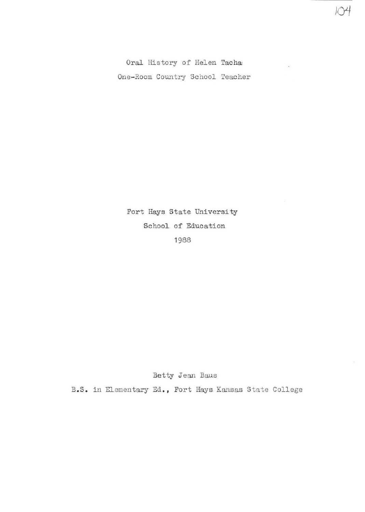Oral History of Helen Tacha One- Room Country School Teacher  $104$ 

5

Fort Hays State University School\_ of Education 1988

Betty Jean Baus

B.S. in Elementary Ed., Fort Hays Kansas State College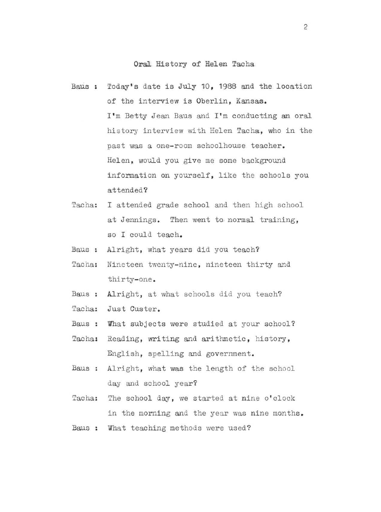### **Oral** History of Helen Tacha

- Baus: Today's date is July 10, 1988 and the location of the interview is Oberlin, Kansas. I'm Betty Jean Baus and I'm conducting an oral history interview with Helen Tacha, who in the past was a one-room schoolhouse teacher. Helen, would you give me some background information on yourself, like the schools you attended?
- Tacha: I attended grade school and then high school at Jennings. Then went to normal training, so I could teach.
- Baus : Alright, what years did you teach?
- Tacha: Nineteen twenty-nine, nineteen thirty and thirty- one .
- Baus: Alright, at what schools did you teach?
- Tacha: Just Guster.
- Baus : What subjects were studied at your school?
- Tacha: Reading, writing and arithmetic, history, English, spelling and government.
- Baus : Alright, what was the length of the school day and school year?
- Tacha: The school day, we started at nine o'clock in the morning and the year was nine months.
- Baus : What teaching methods were used?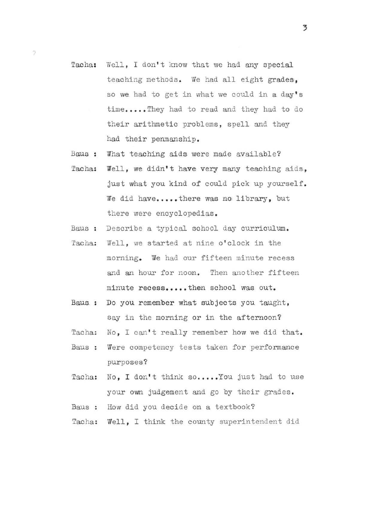- Tacha: Well, I don't know that we had any special teaching methods. We had all eight grades, so we had to get in what we could in a day's time.....They had to read and they had to do their arithmetic problems, spell and they had their penmanship.
- Baus : What teaching aids were made available?

 $\frac{1}{2}$ 

- Tacha: Well, we didn't have very many teaching aids, just what you kind of could pick up yourself. We did have.....there was no library, but there were encyclopedias.
- Baus : Describe a typical school day curriculum.
- Tacha: Well, we started at nine o'clock in the morning. We had our fifteen minute recess and an hour for noon. Then another fifteen minute recess.....then school was out.
- Baus: Do you remember what subjects you taught, say in the morning or in the afternoon?
- Tacha: No, I can't really remember how we did that.
- Baus : Were competency tests taken for performance purposes?
- Tacha: No, I don't think so..... You just had to use your own judgement and go by their grades.
- Baus : How did you decide on a textbook?
- Tacha: Well, I think the county superintendent did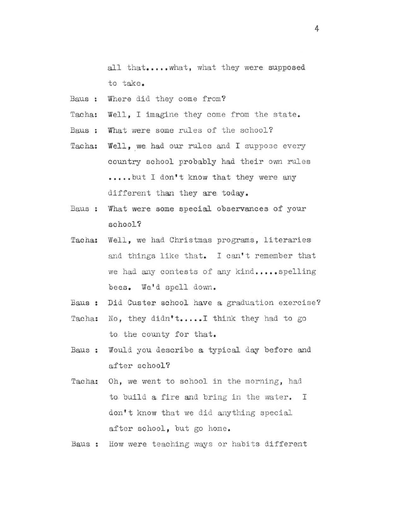all that.....what, what they were supposed to take.

- Baus : Where did they come from?
- Tacha: Well. I imagine they come from the state.
- Baus : What were some rules of the school?
- Tacha: Well, we had our rules and I suppose every country school probably had their own rules .....but I don't know that they were any different than they are today.
- Baus : What were some special observances of your school?
- Tacha: Well, we had Christmas programs, literaries and things like that. I can't remember that we had any contests of any kind..... spelling bees. We'd spell down.
- Baus : Did Custer school have a graduation exercise?
- Tacha: No, they didn't..... I think they had to go to the county for that.
- Baus : Would you describe a typical day before and after school?
- Tacha: Oh, we went to school in the morning, had to build a fire and bring in the water. I don't know that we did anything special after school, but go home.

Baus : How were teaching ways or habits different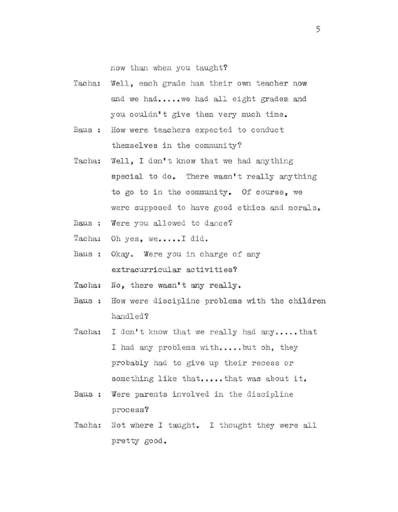now than when you taught?

- Tacha: Well, each grade has their own teacher now and we had..... we had all eight grades and you couldn't give them very much time.
- Baus : How were teachers expected to conduct themselves in the community?
- Tacha: Well, I don't know that we had anything special to do. There wasn't really anything to go to in the community. Of course, we were supposed to have good ethics and morals.
- Baus: Were you allowed to dance?
- Tacha: Oh yes, we.....I did.
- Baus : Okay. Were you in charge of any extracurricular activities?
- Tacha: No, there wasn't any really.
- Baus : How were discipline problems with the children handled?
- Tacha: I don't know that we really had any.....that I had any problems with.....but oh, they probably had to give. up their recess or something like that.....that was about it.
- Baus: Were parents involved in the discipline process?
- Tacha: Not where I taught. I thought they were all pretty good.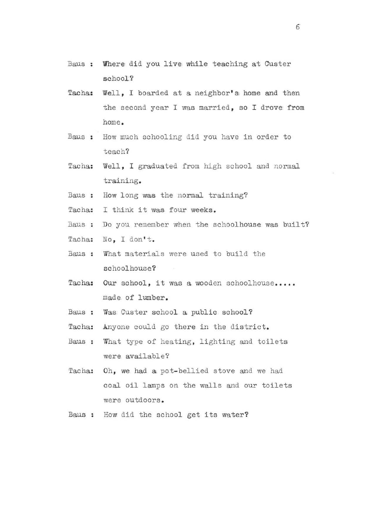- Baus : Where did you live while teaching at Custer school ?
- Tacha: Well, I boarded at a neighbor's home and then the second year I was married, so I drove from home .
- Baus : How much schooling did you have in order to teach?
- Tac ha: Well, I graduated from high school and normal training.
- Baus: How long was the normal training?
- Tacha: I think it was four weeks.
- Baus : Do you remember when the schoolhouse was built?
- Tacha: No, I don't.
- Baus : What materials were used to build the schoolhouse?
- Tacha: Our school, it was a wooden schoolhouse..... made of lumber.
- Baus : Was Custer school a public school?
- Tacha: Anyone could go there in the district.
- Baus: What type of heating, lighting and toilets were available?
- Tacha: Oh, we had a pot-bellied stove and we had coal oil lamps on the walls and our toilets were outdoors.
- Baus : How did the school get its water?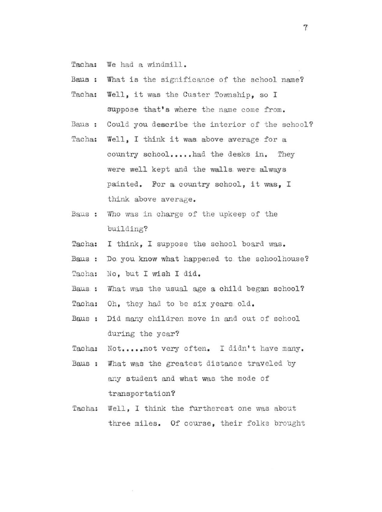- Tacha: We had a windmill.
- Baus : What is the significance of the school name?
- Tacha: Well, it was the Custer Township. so I suppose that's where the name come from.
- Baus : Could you describe the interior of the school?
- Tacha: Well, I think it was above average for a country school.....had the desks in. They were well kept and the walls were always painted. For a country school, it was, I think above average .
- Baus : Who was in charge of the upkeep of the building?
- Tacha: I think, I suppose the school board was.
- Baus : Do you know what happened to the schoolhouse?
- Tacha: No, but I wish I did.
- Baus : What was the usual age a child began school?
- Tacha: Oh, they had to be six years old.
- Baus : Did many children move in and out of school during the year?
- Tacha: Not.....not very often. I didn't have many.
- Baus : What was the greatest distance traveled by any student and what was the mode of transportation?
- Tacha: Well, I think the furtherest one was about three miles. Of course, their folks brought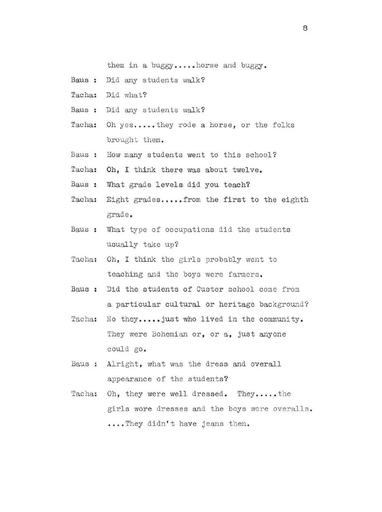them in a buggy.....horse and buggy.

- Baus: Did any students walk?
- Tacha: Did what?
- Baus : Did any students walk?
- Tacha: Oh yes..... they rode a horse, or the folks brought them.
- Baus : How many students went to this school?
- Tacha: Oh, I think there was about twelve.
- Baus : What grade levels did you teach?
- Tacha: Eight grades.....from the first to the eighth grade.
- Baus: What type of occupations did the students usually take up?
- Tacha: Oh, I think the girls probably went to teaching and the boys were farmers.
- Baus : Did the students of Custer school come from a particular cultural or heritage background?
- Tacha: No they.....just who lived in the community. They were Bohemian or, or a, just anyone could go.
- Baus : Alright, what was the dress and overall appearance of the students?
- Tacha: Oh, they were well dressed. They.....the girls wore dresses and the boys wore overalls • ••• • They didn' t have jeans then.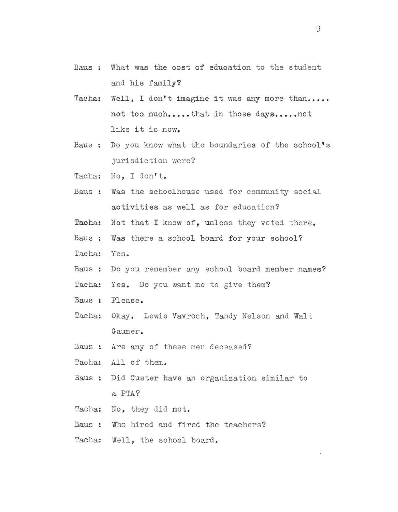- Baus: What was the cost of education to the student and his family?
- Tacha: Well, I don't imagine it was any more than..... not too much..... that in those days..... not like it is now.
- Baus : Do you know what the boundaries of the school's jurisdiction were?
- Tacha: No, I don't.
- Baus : Was the schoolhouse used for community social activities as well as for education?
- Tacha: Not that I know of, unless they voted there.
- Baus : Was there a school board for your school?
- Tacha: Yes.
- Baus : Do you remember any school board member names?

Tacha; Yes. Do you want me to give them?

- Baus : Please .
- Tacha: Okay. Lewis Vavroch, Tandy Nelson and Walt Gaumer.
- Baus: Are any of these men deceased?
- Tacha: All of them.
- Baus : Did Custer have an organization similar to a PTA?
- Tacha: No, they did not.
- Baus: Who hired and fired the teachers?
- Tacha: Well, the school board.